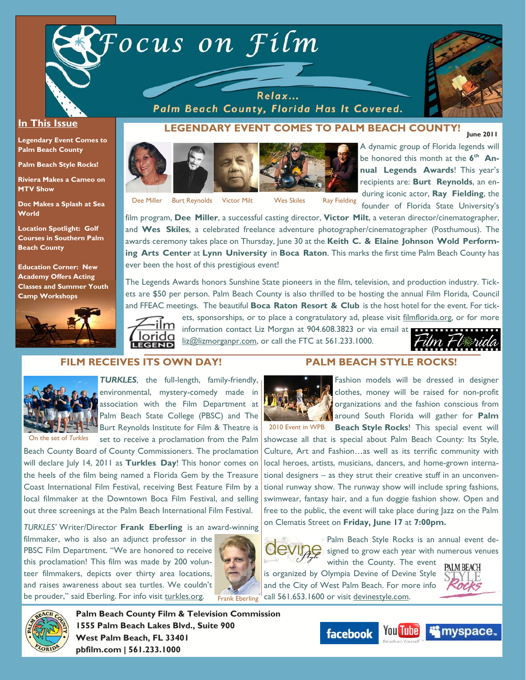



#### **In This Issue**

**Legendary Event Comes to Palm Beach County** 

**Palm Beach Style Rocks!** 

**Riviera Makes a Cameo on MTV Show** 

**Doc Makes a Splash at Sea World** 

**Location Spotlight: Golf Courses in Southern Palm Beach County** 

**Education Corner: New Academy Offers Acting Classes and Summer Youth Camp Workshops**



Palm Beach County, Florida Has It Covered.

Dee Miller Burt Reynolds Victor Milt Wes Skiles Ray Fielding

LEGENDARY EVENT COMES TO PALM BEACH COUNTY! A dynamic group of Florida legends will be honored this month at the 6<sup>th</sup> An**nual Legends Awards**! This year's recipients are: **Burt Reynolds**, an enduring iconic actor, **Ray Fielding**, the founder of Florida State University's

film program, **Dee Miller**, a successful casting director, **Victor Milt**, a veteran director/cinematographer, and **Wes Skiles**, a celebrated freelance adventure photographer/cinematographer (Posthumous). The awards ceremony takes place on Thursday, June 30 at the **Keith C. & Elaine Johnson Wold Performing Arts Center** at **Lynn University** in **Boca Raton**. This marks the first time Palm Beach County has ever been the host of this prestigious event!

The Legends Awards honors Sunshine State pioneers in the film, television, and production industry. Tickets are \$50 per person. Palm Beach County is also thrilled to be hosting the annual Film Florida, Council and FFEAC meetings. The beautiful **Boca Raton Resort & Club** is the host hotel for the event. For tick-

ets, sponsorships, or to place a congratulatory ad, please visit filmflorida.org, or for more



information contact Liz Morgan at 904.608.3823 or via email at **a contract of the contract of the set of the contract of the contract of the contract of the contract of the contract of the contract of the contract of the c** liz@lizmorganpr.com, or call the FTC at 561.233.1000.



## **FILM RECEIVES ITS OWN DAY!**



*TURKLES*, the full-length, family-friendly, environmental, mystery-comedy made in association with the Film Department at Palm Beach State College (PBSC) and The Burt Reynolds Institute for Film & Theatre is

set to receive a proclamation from the Palm

On the set of *Turkles*

Beach County Board of County Commissioners. The proclamation will declare July 14, 2011 as **Turkles Day**! This honor comes on the heels of the film being named a Florida Gem by the Treasure Coast International Film Festival, receiving Best Feature Film by a local filmmaker at the Downtown Boca Film Festival, and selling out three screenings at the Palm Beach International Film Festival.

*TURKLES'* Writer/Director **Frank Eberling** is an award-winning

filmmaker, who is also an adjunct professor in the PBSC Film Department. "We are honored to receive this proclamation! This film was made by 200 volunteer filmmakers, depicts over thirty area locations, and raises awareness about sea turtles. We couldn't be prouder," said Eberling. For info visit turkles.org. Frank Eberling



#### **PALM BEACH STYLE ROCKS!**



Fashion models will be dressed in designer clothes, money will be raised for non-profit organizations and the fashion conscious from around South Florida will gather for **Palm** 

2010 Event in WPB **Beach Style Rocks!** This special event will showcase all that is special about Palm Beach County: Its Style, Culture, Art and Fashion…as well as its terrific community with local heroes, artists, musicians, dancers, and home-grown international designers – as they strut their creative stuff in an unconventional runway show. The runway show will include spring fashions, swimwear, fantasy hair, and a fun doggie fashion show. Open and free to the public, the event will take place during Jazz on the Palm on Clematis Street on **Friday, June 17** at **7:00pm.** 



Palm Beach Style Rocks is an annual event de- $\frac{1}{2}$  signed to grow each year with numerous venues within the County. The event

is organized by Olympia Devine of Devine Style and the City of West Palm Beach. For more info call 561.653.1600 or visit devinestyle.com.





**Palm Beach County Film & Television Commission 1555 Palm Beach Lakes Blvd., Suite 900 West Palm Beach, FL 33401 pbfilm.com | 561.233.1000** 



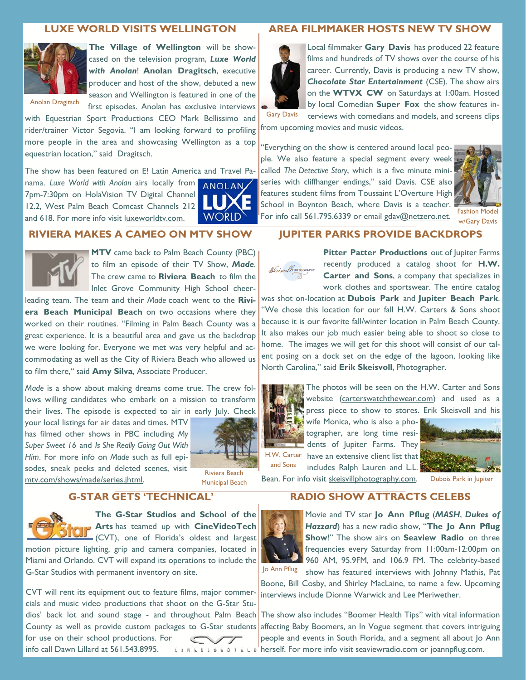#### **LUXE WORLD VISITS WELLINGTON**



**The Village of Wellington** will be showcased on the television program, *Luxe World with Anolan*! **Anolan Dragitsch**, executive producer and host of the show, debuted a new season and Wellington is featured in one of the first episodes. Anolan has exclusive interviews

Anolan Dragitsch

with Equestrian Sport Productions CEO Mark Bellissimo and rider/trainer Victor Segovia. "I am looking forward to profiling more people in the area and showcasing Wellington as a top equestrian location," said Dragitsch.

The show has been featured on E! Latin America and Travel Pa-

nama. *Luxe World with Anolan* airs locally from 7pm-7:30pm on HolaVision TV Digital Channel 12.2, West Palm Beach Comcast Channels 212 and 618. For more info visit luxeworldtv.com.



#### **RIVIERA MAKES A CAMEO ON MTV SHOW**



**MTV** came back to Palm Beach County (PBC) to film an episode of their TV Show, *Made*. The crew came to **Riviera Beach** to film the Inlet Grove Community High School cheer-

leading team. The team and their *Made* coach went to the **Riviera Beach Municipal Beach** on two occasions where they worked on their routines. "Filming in Palm Beach County was a great experience. It is a beautiful area and gave us the backdrop we were looking for. Everyone we met was very helpful and accommodating as well as the City of Riviera Beach who allowed us to film there," said **Amy Silva**, Associate Producer.

*Made* is a show about making dreams come true. The crew follows willing candidates who embark on a mission to transform their lives. The episode is expected to air in early July. Check

your local listings for air dates and times. MTV has filmed other shows in PBC including *My Super Sweet 16* and *Is She Really Going Out With Him*. For more info on *Made* such as full episodes, sneak peeks and deleted scenes, visit soues, sileak peeks and deleted scelles, visit<br>mtv.com/shows/made/series.jhtml. Municipal Beach



Municipal Beach

## **G-STAR GETS 'TECHNICAL'**



**The G-Star Studios and School of the Arts** has teamed up with **CineVideoTech** (CVT), one of Florida's oldest and largest

motion picture lighting, grip and camera companies, located in Miami and Orlando. CVT will expand its operations to include the G-Star Studios with permanent inventory on site.

CVT will rent its equipment out to feature films, major commercials and music video productions that shoot on the G-Star Stufor use on their school productions. For info call Dawn Lillard at 561.543.8995.

#### **AREA FILMMAKER HOSTS NEW TV SHOW**



Local filmmaker **Gary Davis** has produced 22 feature films and hundreds of TV shows over the course of his career. Currently, Davis is producing a new TV show, *Chocolate Star Entertainment* (CSE). The show airs on the **WTVX CW** on Saturdays at 1:00am. Hosted by local Comedian **Super Fox** the show features interviews with comedians and models, and screens clips

from upcoming movies and music videos. Gary Davis

"Everything on the show is centered around local people. We also feature a special segment every week called *The Detective Story*, which is a five minute miniseries with cliffhanger endings," said Davis. CSE also features student films from Toussaint L'Overture High School in Boynton Beach, where Davis is a teacher. For info call 561.795.6339 or email gdav@netzero.net.



Fashion Model w/Gary Davis

#### **JUPITER PARKS PROVIDE BACKDROPS**



**Pitter Patter Productions** out of Jupiter Farms recently produced a catalog shoot for **H.W. Carter and Sons**, a company that specializes in work clothes and sportswear. The entire catalog

was shot on-location at **Dubois Park** and **Jupiter Beach Park**. "We chose this location for our fall H.W. Carters & Sons shoot because it is our favorite fall/winter location in Palm Beach County. It also makes our job much easier being able to shoot so close to home. The images we will get for this shoot will consist of our talent posing on a dock set on the edge of the lagoon, looking like North Carolina," said **Erik Skeisvoll**, Photographer.



The photos will be seen on the H.W. Carter and Sons website (carterswatchthewear.com) and used as a press piece to show to stores. Erik Skeisvoll and his

wife Monica, who is also a photographer, are long time residents of Jupiter Farms. They H.W. Carter have an extensive client list that includes Ralph Lauren and L.L. and Sons



Bean. For info visit skeisvillphotography.com. Dubois Park in Jupiter

## **RADIO SHOW ATTRACTS CELEBS**



Movie and TV star **Jo Ann Pflug** (*MASH*, *Dukes of Hazzard*) has a new radio show, "**The Jo Ann Pflug Show**!" The show airs on **Seaview Radio** on three frequencies every Saturday from 11:00am-12:00pm on 960 AM, 95.9FM, and 106.9 FM. The celebrity-based

show has featured interviews with Johnny Mathis, Pat Boone, Bill Cosby, and Shirley MacLaine, to name a few. Upcoming interviews include Dionne Warwick and Lee Meriwether. Jo Ann Pflug

dios' back lot and sound stage - and throughout Palm Beach The show also includes "Boomer Health Tips" with vital information County as well as provide custom packages to G-Star students affecting Baby Boomers, an In Vogue segment that covers intriguing people and events in South Florida, and a segment all about Jo Ann  $E \cup E \cup E \cup E \cup F$  is  $E \cup F$  herself. For more info visit seaviewradio.com or joannpflug.com.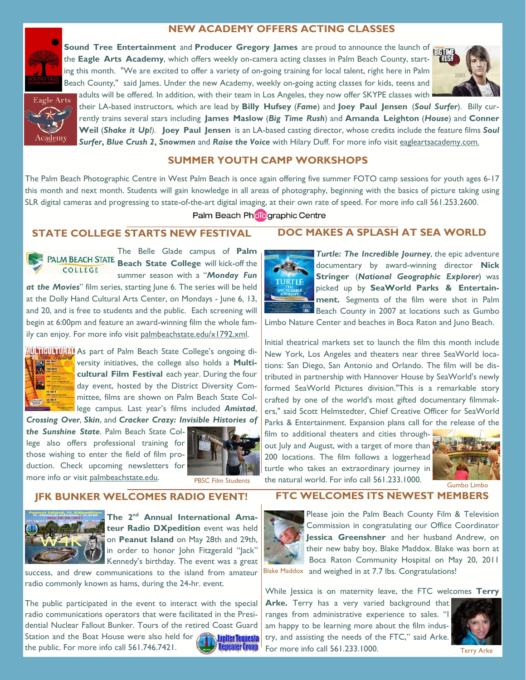## **NEW ACADEMY OFFERS ACTING CLASSES**



**Sound Tree Entertainment** and **Producer Gregory James** are proud to announce the launch of the **Eagle Arts Academy**, which offers weekly on-camera acting classes in Palm Beach County, starting this month. "We are excited to offer a variety of on-going training for local talent, right here in Palm Beach County," said James. Under the new Academy, weekly on-going acting classes for kids, teens and adults will be offered. In addition, with their team in Los Angeles, they now offer SKYPE classes with





their LA-based instructors, which are lead by **Billy Hufsey** (*Fame*) and **Joey Paul Jensen** (*Soul Surfer*). Billy currently trains several stars including **James Maslow** (*Big Time Rush*) and **Amanda Leighton** (*House*) and **Conner Weil** (*Shake it Up!).* **Joey Paul Jensen** is an LA-based casting director, whose credits include the feature films *Soul Surfer***,** *Blue Crush 2***,** *Snowmen* and *Raise the Voice* with Hilary Duff. For more info visit eagleartsacademy.com.

## **SUMMER YOUTH CAMP WORKSHOPS**

The Palm Beach Photographic Centre in West Palm Beach is once again offering five summer FOTO camp sessions for youth ages 6-17 this month and next month. Students will gain knowledge in all areas of photography, beginning with the basics of picture taking using SLR digital cameras and progressing to state-of-the-art digital imaging, at their own rate of speed. For more info call 561.253.2600.

#### Palm Beach Pholographic Centre

## **STATE COLLEGE STARTS NEW FESTIVAL**



The Belle Glade campus of **Palm**  PALM BEACH STATE Beach State College will kick-off the COLLEGE summer season with a "*Monday Fun* 

*at the Movies*" film series, starting June 6. The series will be held at the Dolly Hand Cultural Arts Center, on Mondays - June 6, 13, and 20, and is free to students and the public. Each screening will begin at 6:00pm and feature an award-winning film the whole family can enjoy. For more info visit palmbeachstate.edu/x1792.xml.



**MUNICH AS part of Palm Beach State College's ongoing di**versity initiatives, the college also holds a **Multicultural Film Festival** each year. During the four day event, hosted by the District Diversity Committee, films are shown on Palm Beach State College campus. Last year's films included *Amistad*,

*Crossing Over*, *Skin*, and *Cracker Crazy: Invisible Histories of* 

*the Sunshine State*. Palm Beach State College also offers professional training for those wishing to enter the field of film production. Check upcoming newsletters for more info or visit palmbeachstate.edu.



## **JFK BUNKER WELCOMES RADIO EVENT!**



The 2<sup>nd</sup> Annual International Amateur Radio DXpedition event was held on **Peanut Island** on May 28th and 29th, in order to honor John Fitzgerald "Jack" Kennedy's birthday. The event was a great

success, and drew communications to the island from amateur radio commonly known as hams, during the 24-hr. event.

The public participated in the event to interact with the special radio communications operators that were facilitated in the Presidential Nuclear Fallout Bunker. Tours of the retired Coast Guard Station and the Boat House were also held for **Lupiter Tequesta** the public. For more info call 561.746.7421. **Repeater Group** 



# **DOC MAKES A SPLASH AT SEA WORLD**

*Turtle: The Incredible Journey*, the epic adventure documentary by award-winning director **Nick Stringer** (*National Geographic Explorer*) was picked up by **SeaWorld Parks & Entertainment.** Segments of the film were shot in Palm Beach County in 2007 at locations such as Gumbo

Limbo Nature Center and beaches in Boca Raton and Juno Beach.

Initial theatrical markets set to launch the film this month include New York, Los Angeles and theaters near three SeaWorld locations: San Diego, San Antonio and Orlando. The film will be distributed in partnership with Hannover House by SeaWorld's newly formed SeaWorld Pictures division."This is a remarkable story crafted by one of the world's most gifted documentary filmmakers," said Scott Helmstedter, Chief Creative Officer for SeaWorld Parks & Entertainment. Expansion plans call for the release of the

film to additional theaters and cities throughout July and August, with a target of more than 200 locations. The film follows a loggerhead turtle who takes an extraordinary journey in the natural world. For info call 561.233.1000.



## **FTC WELCOMES ITS NEWEST MEMBERS**



Please join the Palm Beach County Film & Television Commission in congratulating our Office Coordinator **Jessica Greenshner** and her husband Andrew, on their new baby boy, Blake Maddox. Blake was born at Boca Raton Community Hospital on May 20, 2011 Blake Maddox and weighed in at 7.7 lbs. Congratulations!

While Jessica is on maternity leave, the FTC welcomes **Terry** 

Arke. Terry has a very varied background that ranges from administrative experience to sales. "I am happy to be learning more about the film industry, and assisting the needs of the FTC," said Arke. For more info call 561.233.1000.



Terry Arke